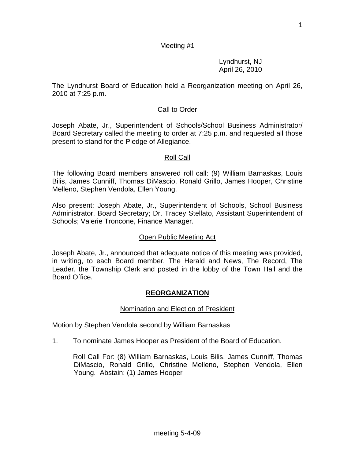1

# Meeting #1

 Lyndhurst, NJ April 26, 2010

The Lyndhurst Board of Education held a Reorganization meeting on April 26, 2010 at 7:25 p.m.

## Call to Order

Joseph Abate, Jr., Superintendent of Schools/School Business Administrator/ Board Secretary called the meeting to order at 7:25 p.m. and requested all those present to stand for the Pledge of Allegiance.

## Roll Call

The following Board members answered roll call: (9) William Barnaskas, Louis Bilis, James Cunniff, Thomas DiMascio, Ronald Grillo, James Hooper, Christine Melleno, Stephen Vendola, Ellen Young.

Also present: Joseph Abate, Jr., Superintendent of Schools, School Business Administrator, Board Secretary; Dr. Tracey Stellato, Assistant Superintendent of Schools; Valerie Troncone, Finance Manager.

## Open Public Meeting Act

Joseph Abate, Jr., announced that adequate notice of this meeting was provided, in writing, to each Board member, The Herald and News, The Record, The Leader, the Township Clerk and posted in the lobby of the Town Hall and the Board Office.

## **REORGANIZATION**

## Nomination and Election of President

Motion by Stephen Vendola second by William Barnaskas

1. To nominate James Hooper as President of the Board of Education.

Roll Call For: (8) William Barnaskas, Louis Bilis, James Cunniff, Thomas DiMascio, Ronald Grillo, Christine Melleno, Stephen Vendola, Ellen Young. Abstain: (1) James Hooper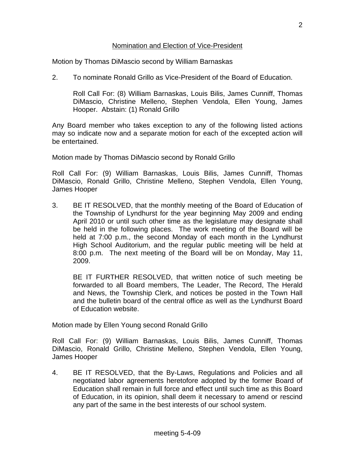#### Nomination and Election of Vice-President

Motion by Thomas DiMascio second by William Barnaskas

2. To nominate Ronald Grillo as Vice-President of the Board of Education.

Roll Call For: (8) William Barnaskas, Louis Bilis, James Cunniff, Thomas DiMascio, Christine Melleno, Stephen Vendola, Ellen Young, James Hooper. Abstain: (1) Ronald Grillo

Any Board member who takes exception to any of the following listed actions may so indicate now and a separate motion for each of the excepted action will be entertained.

Motion made by Thomas DiMascio second by Ronald Grillo

Roll Call For: (9) William Barnaskas, Louis Bilis, James Cunniff, Thomas DiMascio, Ronald Grillo, Christine Melleno, Stephen Vendola, Ellen Young, James Hooper

3. BE IT RESOLVED, that the monthly meeting of the Board of Education of the Township of Lyndhurst for the year beginning May 2009 and ending April 2010 or until such other time as the legislature may designate shall be held in the following places. The work meeting of the Board will be held at 7:00 p.m., the second Monday of each month in the Lyndhurst High School Auditorium, and the regular public meeting will be held at 8:00 p.m. The next meeting of the Board will be on Monday, May 11, 2009.

BE IT FURTHER RESOLVED, that written notice of such meeting be forwarded to all Board members, The Leader, The Record, The Herald and News, the Township Clerk, and notices be posted in the Town Hall and the bulletin board of the central office as well as the Lyndhurst Board of Education website.

Motion made by Ellen Young second Ronald Grillo

Roll Call For: (9) William Barnaskas, Louis Bilis, James Cunniff, Thomas DiMascio, Ronald Grillo, Christine Melleno, Stephen Vendola, Ellen Young, James Hooper

4. BE IT RESOLVED, that the By-Laws, Regulations and Policies and all negotiated labor agreements heretofore adopted by the former Board of Education shall remain in full force and effect until such time as this Board of Education, in its opinion, shall deem it necessary to amend or rescind any part of the same in the best interests of our school system.